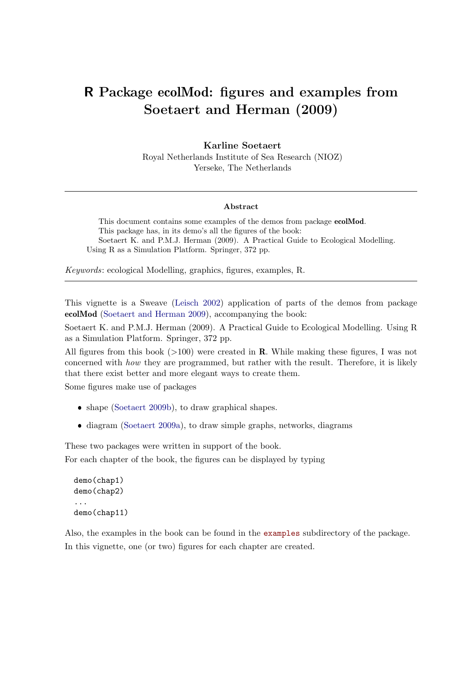# R Package ecolMod: figures and examples from Soetaert and Herman (2009)

#### Karline Soetaert

Royal Netherlands Institute of Sea Research (NIOZ) Yerseke, The Netherlands

#### Abstract

This document contains some examples of the demos from package ecolMod. This package has, in its demo's all the figures of the book: Soetaert K. and P.M.J. Herman (2009). A Practical Guide to Ecological Modelling. Using R as a Simulation Platform. Springer, 372 pp.

Keywords: ecological Modelling, graphics, figures, examples, R.

This vignette is a Sweave [\(Leisch 2002\)](#page-26-0) application of parts of the demos from package ecolMod [\(Soetaert and Herman 2009\)](#page-26-1), accompanying the book:

Soetaert K. and P.M.J. Herman (2009). A Practical Guide to Ecological Modelling. Using R as a Simulation Platform. Springer, 372 pp.

All figures from this book  $(>100)$  were created in **R**. While making these figures, I was not concerned with how they are programmed, but rather with the result. Therefore, it is likely that there exist better and more elegant ways to create them.

Some figures make use of packages

- shape [\(Soetaert 2009b\)](#page-26-2), to draw graphical shapes.
- ❼ diagram [\(Soetaert 2009a\)](#page-26-3), to draw simple graphs, networks, diagrams

These two packages were written in support of the book. For each chapter of the book, the figures can be displayed by typing

```
demo(chap1)
demo(chap2)
...
demo(chap11)
```
Also, the examples in the book can be found in the <examples> subdirectory of the package. In this vignette, one (or two) figures for each chapter are created.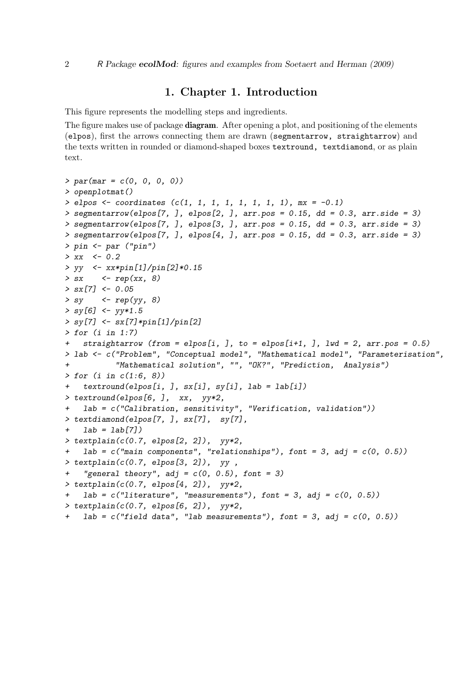## 1. Chapter 1. Introduction

This figure represents the modelling steps and ingredients.

The figure makes use of package **diagram**. After opening a plot, and positioning of the elements (elpos), first the arrows connecting them are drawn (segmentarrow, straightarrow) and the texts written in rounded or diamond-shaped boxes textround, textdiamond, or as plain text.

```
> par(mar = c(0, 0, 0, 0))
> openplotmat()
> elpos <- coordinates (c(1, 1, 1, 1, 1, 1, 1, 1), mx = -0.1)
> segmentarrow(elpos[7, ], elpos[2, ], arr.pos = 0.15, dd = 0.3, arr.side = 3)
> segmentarrow(elpos[7, ], elpos[3, ], arr.pos = 0.15, dd = 0.3, arr.side = 3)
> segmentarrow(elpos[7, ], elpos[4, ], arr.pos = 0.15, dd = 0.3, arr.side = 3)
> pin <- par ("pin")
> xx <- 0.2
> yy <- xx*pin[1]/pin[2]*0.15
> sx <- rep(xx, 8)
> sx[7] <- 0.05
> sy <- rep(yy, 8)
> sy[6] <- yy*1.5
> sy[7] <- sx[7]*pin[1]/pin[2]
> for (i in 1:7)
+ straightarrow (from = elpos[i, ], to = elpos[i+1, ], lwd = 2, arr.pos = 0.5)
> lab <- c("Problem", "Conceptual model", "Mathematical model", "Parameterisation",
           + "Mathematical solution", "", "OK?", "Prediction, Analysis")
> for (i in c(1:6, 8))
+ textround(elpos[i, ], sx[i], sy[i], lab = lab[i])
> textround(elpos[6, ], xx, yy*2,
+ lab = c("Calibration, sensitivity", "Verification, validation"))
> textdiamond(elpos[7, ], sx[7], sy[7],
    + lab = lab[7])
> textplain(c(0.7, elpos[2, 2]), yy*2,
    lab = c("main components", "relations"), font = 3, adj = c(0, 0.5))> textplain(c(0.7, elpos[3, 2]), yy ,
    "general theory", adj = c(0, 0.5), font = 3)
> textplain(c(0.7, elpos[4, 2]), yy*2,
   + lab = c("literature", "measurements"), font = 3, adj = c(0, 0.5))
> textplain(c(0.7, elpos[6, 2]), yy*2,
+ lab = c("field data", "lab measurements"), font = 3, adj = c(0, 0.5))
```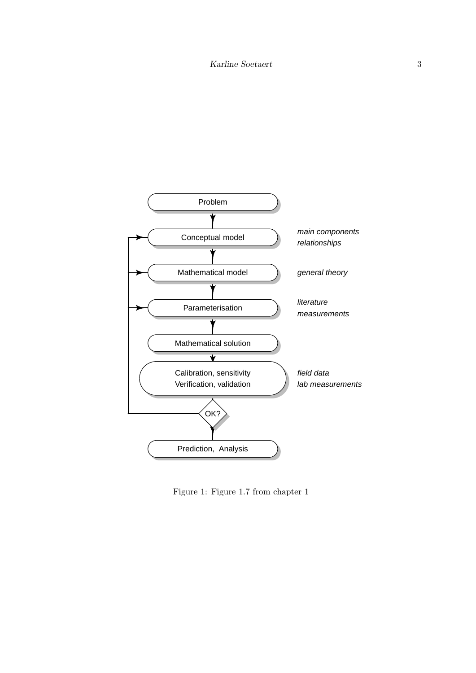

Figure 1: Figure 1.7 from chapter 1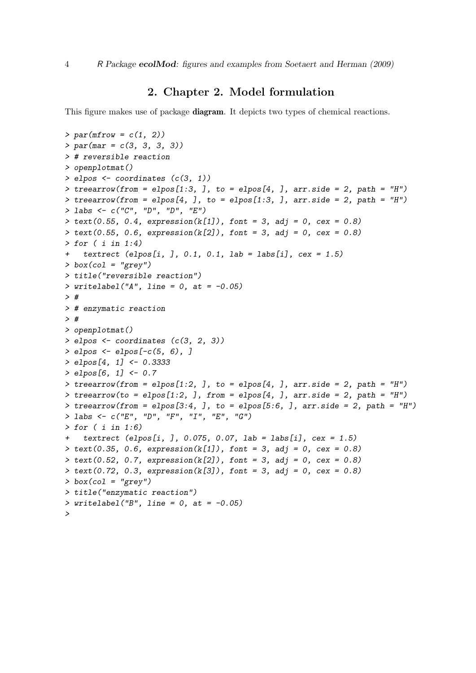#### 2. Chapter 2. Model formulation

This figure makes use of package **diagram**. It depicts two types of chemical reactions.

```
> par(mfrow = c(1, 2))
> par(mar = c(3, 3, 3, 3))
> # reversible reaction
> openplotmat()
> elpos <- coordinates (c(3, 1))
> treearrow(from = elpos[1:3, ], to = elpos[4, ], arr.side = 2, path = "H")
> treearrow(from = elpos[4, ], to = elpos[1:3, ], arr.side = 2, path = "H")
> labs <- c("C", "D", "D", "E")
> text(0.55, 0.4, expression(k[1]), font = 3, adj = 0, cex = 0.8)
> text(0.55, 0.6, expression(k[2]), font = 3, adj = 0, cex = 0.8)
> for ( i in 1:4)
+ textrect (elpos[i, ], 0.1, 0.1, lab = labs[i], cex = 1.5)
> box(col = "grey")
> title("reversible reaction")
> writelabel("A", line = 0, at = -0.05)
> #
> # enzymatic reaction
> #
> openplotmat()
> elpos <- coordinates (c(3, 2, 3))
> elpos <- elpos[-c(5, 6), ]
> elpos[4, 1] <- 0.3333
> elpos[6, 1] <- 0.7
> treearrow(from = elpos[1:2, ], to = elpos[4, ], arr.side = 2, path = "H")
> treearrow(to = elpos[1:2, ], from = elpos[4, ], arr.side = 2, path = "H")
> treearrow(from = elpos[3:4, ], to = elpos[5:6, ], arr.side = 2, path = "H")
> labs <- c("E", "D", "F", "I", "E", "G")
> for ( i in 1:6)
    + textrect (elpos[i, ], 0.075, 0.07, lab = labs[i], cex = 1.5)
> text(0.35, 0.6, expression(k[1]), font = 3, adj = 0, cex = 0.8)
> text(0.52, 0.7, expression(k[2]), font = 3, adj = 0, cex = 0.8)
> text(0.72, 0.3, expression(k[3]), font = 3, adj = 0, cex = 0.8)
> box(col = "grey")
> title("enzymatic reaction")
> writelabel("B", line = 0, at = -0.05)
>
```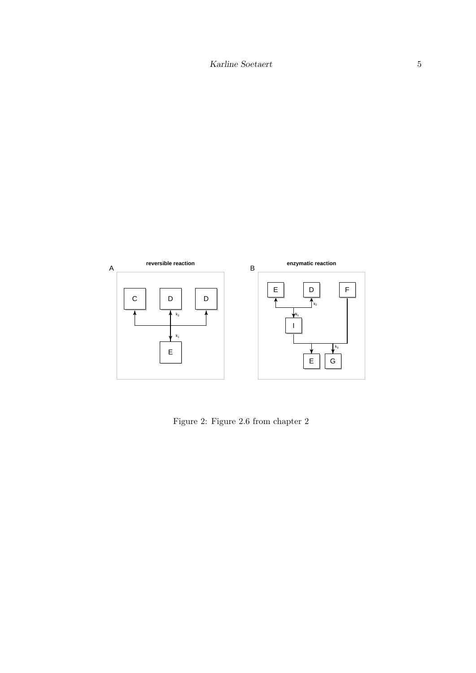

Figure 2: Figure 2.6 from chapter 2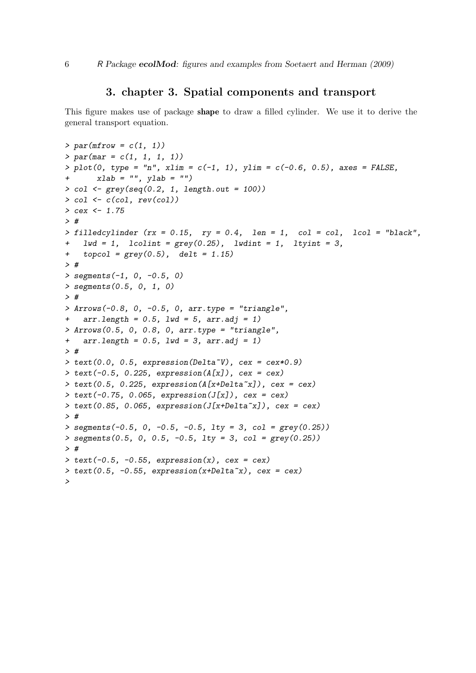#### 3. chapter 3. Spatial components and transport

This figure makes use of package shape to draw a filled cylinder. We use it to derive the general transport equation.

```
> par(mfrow = c(1, 1))
> par(mar = c(1, 1, 1, 1))
> plot(0, type = "n", xlim = c(-1, 1), ylim = c(-0.6, 0.5), axes = FALSE,
       + xlab = "", ylab = "")
> col <- grey(seq(0.2, 1, length.out = 100))
> col <- c(col, rev(col))
> cex <- 1.75
> #
> filledcylinder (rx = 0.15, ry = 0.4, len = 1, col = col, lcol = "black",
+ lwd = 1, lcolint = grey(0.25), lwdint = 1, ltyint = 3,
+ topcol = grey(0.5), delt = 1.15)
> #
> segments(-1, 0, -0.5, 0)
> segments(0.5, 0, 1, 0)
> #
> Arrows(-0.8, 0, -0.5, 0, arr.type = "triangle",
+ arr.length = 0.5, lwd = 5, arr.adj = 1)
> Arrows(0.5, 0, 0.8, 0, arr.type = "triangle",
+ arr.length = 0.5, lwd = 3, arr.adj = 1)
> #
> text(0.0, 0.5, expression(Delta~V), cex = cex*0.9)
> text(-0.5, 0.225, expression(A[x]), cex = cex)
> text(0.5, 0.225, expression(A[x+Delta~x]), cex = cex)
> text(-0.75, 0.065, expression(J[x]), cex = cex)
> text(0.85, 0.065, expression(J[x+Delta~x]), cex = cex)
> #
> segments(-0.5, 0, -0.5, -0.5, lty = 3, col = grey(0.25))
> segments(0.5, 0, 0.5, -0.5, lty = 3, col = grey(0.25))
> #
> text(-0.5, -0.55, expression(x), cex = cex)
> text(0.5, -0.55, expression(x+Delta~x), cex = cex)
>
```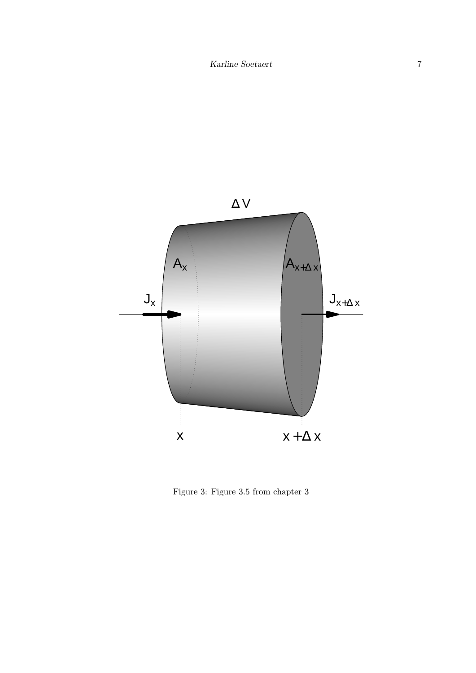

Figure 3: Figure 3.5 from chapter 3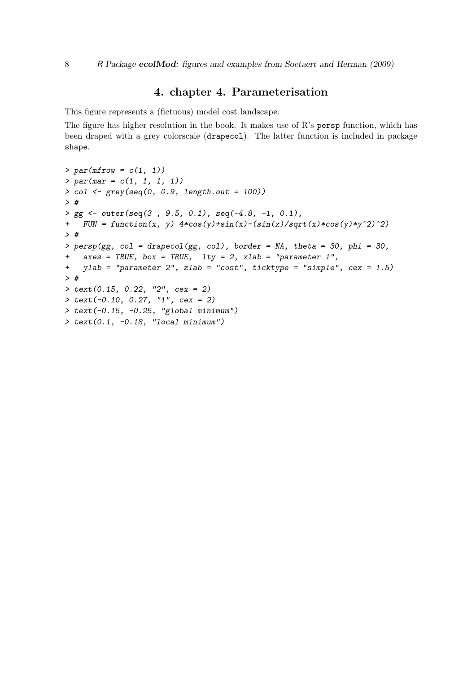### 4. chapter 4. Parameterisation

This figure represents a (fictuous) model cost landscape.

The figure has higher resolution in the book. It makes use of R's persp function, which has been draped with a grey colorscale (drapecol). The latter function is included in package shape.

```
> par(mfrow = c(1, 1))
> par(mar = c(1, 1, 1, 1))
> col <- grey(seq(0, 0.9, length.out = 100))
> #
> gg <- outer(seq(3 , 9.5, 0.1), seq(-4.8, -1, 0.1),
+ FUN = function(x, y) 4*cos(y)+sin(x)-(sin(x)/sqrt(x)*cos(y)*y^2)^2)
> #
> persp(gg, col = drapecol(gg, col), border = NA, theta = 30, phi = 30,
+ axes = TRUE, box = TRUE, lty = 2, xlab = "parameter 1",
+ ylab = "parameter 2", zlab = "cost", ticktype = "simple", cex = 1.5)
> #
> text(0.15, 0.22, "2", cex = 2)
> text(-0.10, 0.27, "1", cex = 2)
> text(-0.15, -0.25, "global minimum")
> text(0.1, -0.18, "local minimum")
```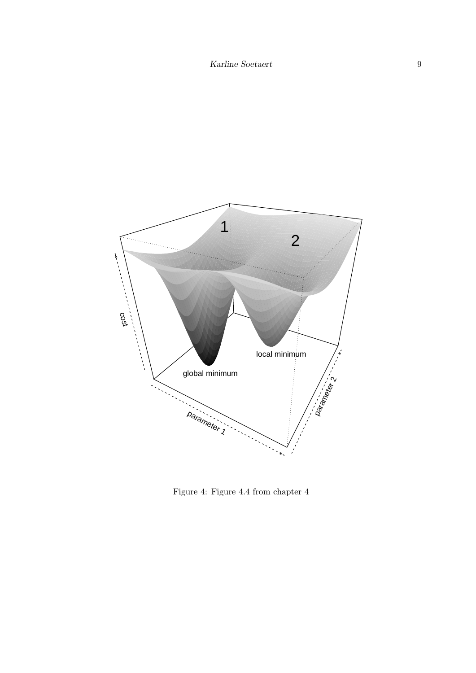

Figure 4: Figure 4.4 from chapter 4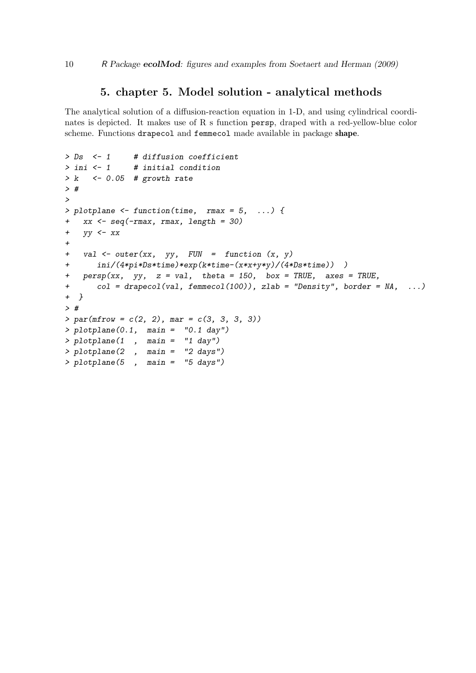#### 5. chapter 5. Model solution - analytical methods

The analytical solution of a diffusion-reaction equation in 1-D, and using cylindrical coordinates is depicted. It makes use of R s function persp, draped with a red-yellow-blue color scheme. Functions drapecol and femmecol made available in package shape.

```
> Ds <- 1 # diffusion coefficient
> ini <- 1 # initial condition
> k <- 0.05 # growth rate
> #
>
> plotplane <- function(time, rmax = 5, ...) {
+ xx <- seq(-rmax, rmax, length = 30)
+ yy <- xx
+
+ val <- outer(xx, yy, FUN = function (x, y)
+ ini/(4*pi*Ds*time)*exp(k*time-(x*x+y*y)/(4*Ds*time)) )
+ persp(xx, yy, z = val, theta = 150, box = TRUE, axes = TRUE,
+ col = drapecol(val, femmecol(100)), zlab = "Density", border = NA, ...)
+ }
> #
> par(mfrow = c(2, 2), mar = c(3, 3, 3, 3))
> plotplane(0.1, main = "0.1 day")
> plotplane(1 , main = "1 day")
> plotplane(2 , main = "2 days")
> plotplane(5 , main = "5 days")
```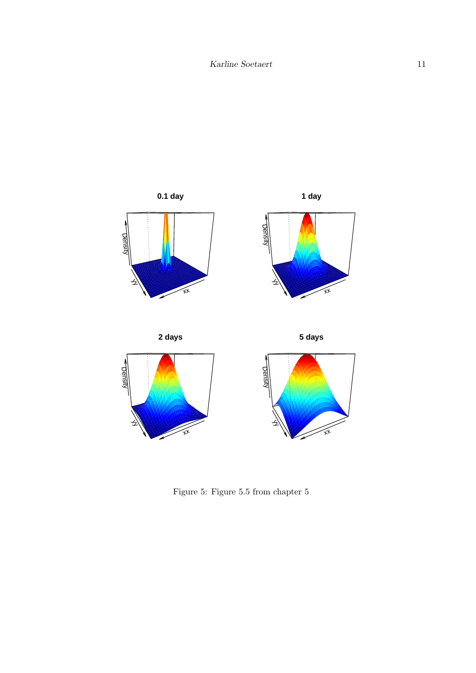

Figure 5: Figure 5.5 from chapter 5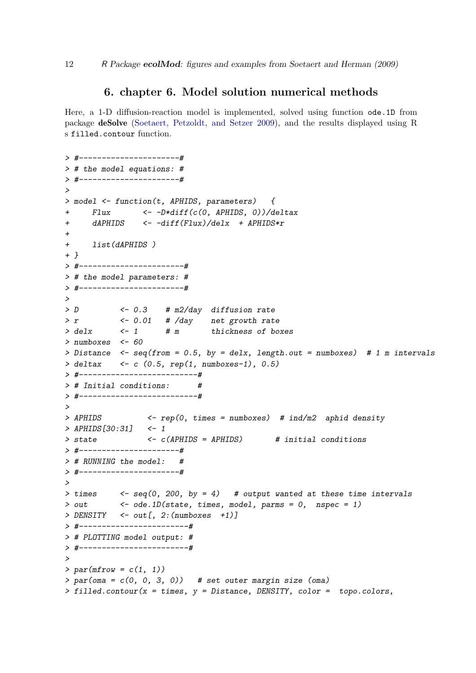#### 6. chapter 6. Model solution numerical methods

Here, a 1-D diffusion-reaction model is implemented, solved using function ode.1D from package deSolve [\(Soetaert, Petzoldt, and Setzer 2009\)](#page-26-4), and the results displayed using R s filled.contour function.

```
> #----------------------#
> # the model equations: #
> #----------------------#
>
> model <- function(t, APHIDS, parameters) {
+ Flux <- -D*diff(c(0, APHIDS, 0))/deltax
+ dAPHIDS <- -diff(Flux)/delx + APHIDS*r
+
+ list(dAPHIDS )
+ }
> #-----------------------#
> # the model parameters: #
> #-----------------------#
>
> D <- 0.3 # m2/day diffusion rate
> r <- 0.01 # /day net growth rate
> delx <- 1 # m thickness of boxes
> numboxes <- 60
> Distance <- seq(from = 0.5, by = delx, length.out = numboxes) # 1 m intervals
> deltax <- c (0.5, rep(1, numboxes-1), 0.5)
> #--------------------------#
> # Initial conditions: #
> #--------------------------#
>
> APHIDS <- rep(0, times = numboxes) # ind/m2 aphid density
> APHIDS[30:31] <- 1
> state <- c(APHIDS = APHIDS) # initial conditions
> #----------------------#
> # RUNNING the model: #
> #----------------------#
>
> times <- seq(0, 200, by = 4) # output wanted at these time intervals
> out <- ode.1D(state, times, model, parms = 0, nspec = 1)
> DENSITY <- out[, 2:(numboxes +1)]
> #------------------------#
> # PLOTTING model output: #
> #------------------------#
>
> par(mfrow = c(1, 1))
> par(oma = c(0, 0, 3, 0)) # set outer margin size (oma)
> filled.contour(x = times, y = Distance, DENSITY, color = topo.colors,
```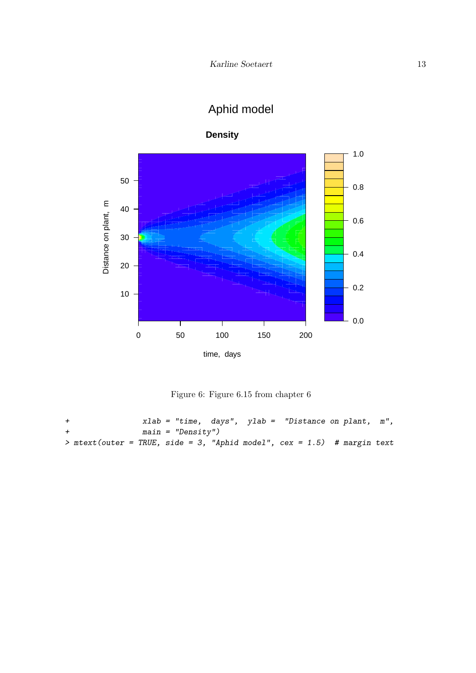## Aphid model



**Density**

Figure 6: Figure 6.15 from chapter 6

```
+ xlab = "time, days", ylab = "Distance on plant, m",
+ main = "Density")
> mtext(outer = TRUE, side = 3, "Aphid model", cex = 1.5) # margin text
```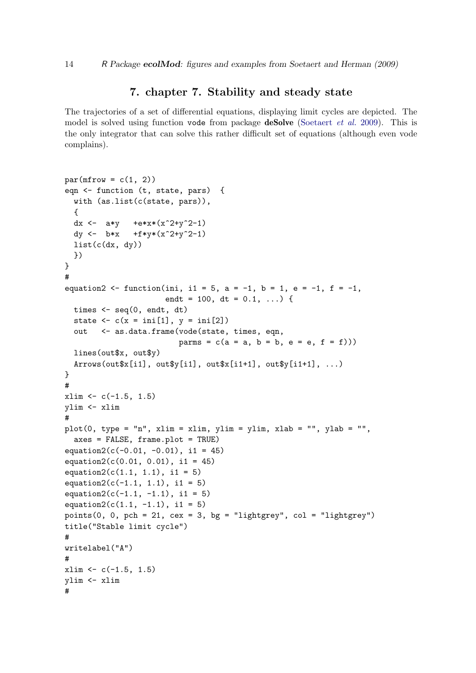#### 7. chapter 7. Stability and steady state

The trajectories of a set of differential equations, displaying limit cycles are depicted. The model is solved using function vode from package **deSolve** [\(Soetaert](#page-26-4) *et al.* [2009\)](#page-26-4). This is the only integrator that can solve this rather difficult set of equations (although even vode complains).

```
par(mfrow = c(1, 2))eqn <- function (t, state, pars) {
  with (as.list(c(state, pars)),
  {
  dx <- a*y +e*x*(x^2+y^2-1)
  dy <- b*x +f*y*(x^2+y^2-1)
  list(c(dx, dy))})
}
#
equation2 <- function(ini, i1 = 5, a = -1, b = 1, e = -1, f = -1,
                       endt = 100, dt = 0.1, ... {
  times <- seq(0, endt, dt)
  state \langle -c(x = \text{ini}[1], y = \text{ini}[2]) \rangleout <- as.data.frame(vode(state, times, eqn,
                          params = c(a = a, b = b, e = e, f = f)))lines(out$x, out$y)
  Arrows(outTx[i1], out\{y[i1], out\z[i1+1], out\{y[i1+1]}, ...)
}
#
xlim < -c(-1.5, 1.5)ylim <- xlim
#
plot(0, type = "n", xlim = xlim, ylim = ylim, xlab = "", ylab = "",
  axes = FALSE, frame.plot = TRUE)
equation2(c(-0.01, -0.01), i1 = 45)
equation2(c(0.01, 0.01), i1 = 45)equation2(c(1.1, 1.1), i1 = 5)
equation2(c(-1.1, 1.1), i1 = 5)
equation2(c(-1.1, -1.1), i1 = 5)
equation2(c(1.1, -1.1), i1 = 5)
points(0, 0, pch = 21, cex = 3, bg = "lightgrey", col = "lightgrey")
title("Stable limit cycle")
#
writelabel("A")
#
xlim \leftarrow c(-1.5, 1.5)ylim <- xlim
#
```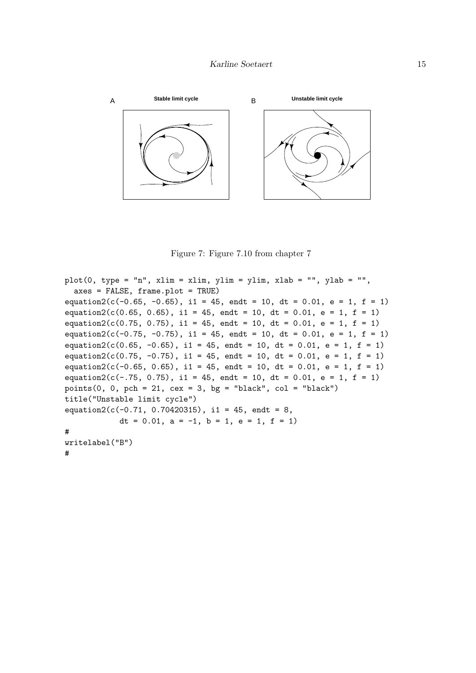

Figure 7: Figure 7.10 from chapter 7

```
plot(0, type = "n", xlim = xlim, ylim = ylim, xlab = "", ylab = "",axes = FALSE, frame.plot = TRUE)
equation2(c(-0.65, -0.65), i1 = 45, endt = 10, dt = 0.01, e = 1, f = 1)
equation2(c(0.65, 0.65), i1 = 45, endt = 10, dt = 0.01, e = 1, f = 1)
equation2(c(0.75, 0.75), i1 = 45, endt = 10, dt = 0.01, e = 1, f = 1)
equation2(c(-0.75, -0.75), i1 = 45, endt = 10, dt = 0.01, e = 1, f = 1)
equation2(c(0.65, -0.65), i1 = 45, endt = 10, dt = 0.01, e = 1, f = 1)
equation2(c(0.75, -0.75), i1 = 45, endt = 10, dt = 0.01, e = 1, f = 1)
equation2(c(-0.65, 0.65), i1 = 45, endt = 10, dt = 0.01, e = 1, f = 1)
equation2(c(-.75, 0.75), i1 = 45, endt = 10, dt = 0.01, e = 1, f = 1)
points(0, 0, pch = 21, cex = 3, bg = "black", col = "black")
title("Unstable limit cycle")
equation2(c(-0.71, 0.70420315), i1 = 45, endt = 8,
            dt = 0.01, a = -1, b = 1, e = 1, f = 1)
#
writelabel("B")
```

```
#
```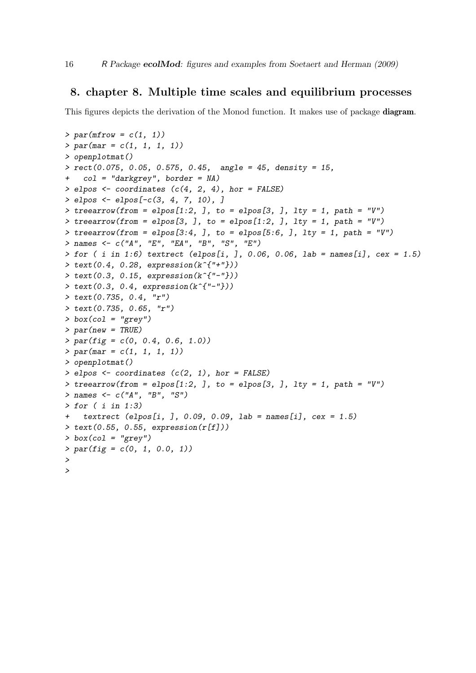#### 8. chapter 8. Multiple time scales and equilibrium processes

This figures depicts the derivation of the Monod function. It makes use of package **diagram**.

```
> par(mfrow = c(1, 1))
> par(mar = c(1, 1, 1, 1))
> openplotmat()
> rect(0.075, 0.05, 0.575, 0.45, angle = 45, density = 15,
    + col = "darkgrey", border = NA)
> elpos <- coordinates (c(4, 2, 4), hor = FALSE)
> elpos <- elpos[-c(3, 4, 7, 10), ]
> treearrow(from = elpos[1:2, ], to = elpos[3, ], lty = 1, path = "V")
\geq treearrow(from = elpos[3, ], to = elpos[1:2, ], lty = 1, path = "V")
> treearrow(from = elpos[3:4, ], to = elpos[5:6, ], lty = 1, path = "V")
> names <- c("A", "E", "EA", "B", "S", "E")
> for ( i in 1:6) textrect (elpos[i, ], 0.06, 0.06, lab = names[i], cex = 1.5)
> text(0.4, 0.28, expression(k^{"+"}))
> text(0.3, 0.15, expression(k^{"-"}))
> text(0.3, 0.4, expression(k^{"-"}))
> text(0.735, 0.4, "r")
> text(0.735, 0.65, "r")
> box(col = "grey")
> par(new = TRUE)
> par(fig = c(0, 0.4, 0.6, 1.0))
> par(mar = c(1, 1, 1, 1))
> openplotmat()
> elpos <- coordinates (c(2, 1), hor = FALSE)
> treearrow(from = elpos[1:2, ], to = elpos[3, ], lty = 1, path = "V")
> names <- c("A", "B", "S")
> for ( i in 1:3)
    + textrect (elpos[i, ], 0.09, 0.09, lab = names[i], cex = 1.5)
> text(0.55, 0.55, expression(r[f]))
> box(col = "grey")
> par(fig = c(0, 1, 0.0, 1))
>
>
```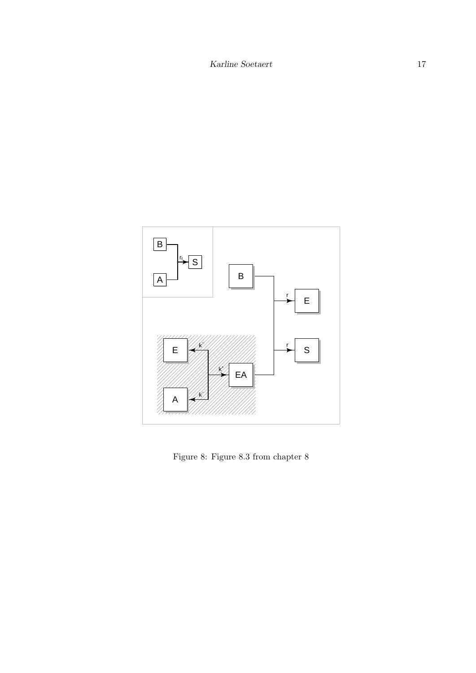

Figure 8: Figure 8.3 from chapter 8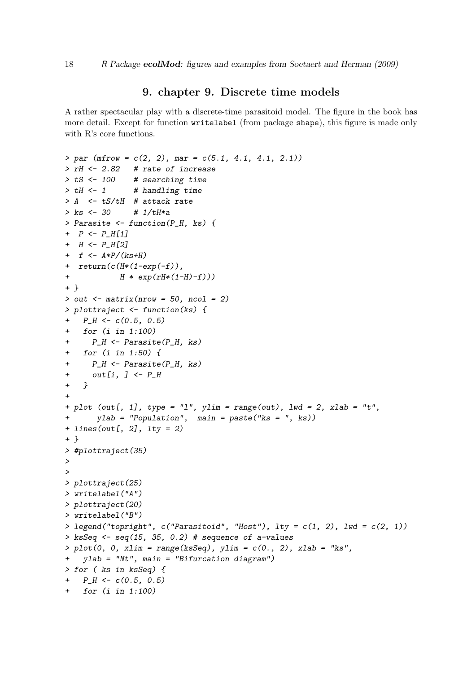#### 9. chapter 9. Discrete time models

A rather spectacular play with a discrete-time parasitoid model. The figure in the book has more detail. Except for function writelabel (from package shape), this figure is made only with R's core functions.

```
> par (mfrow = c(2, 2), mar = c(5.1, 4.1, 4.1, 2.1))
> rH <- 2.82 # rate of increase
> tS <- 100 # searching time
> tH <- 1 # handling time
> A <- tS/tH # attack rate
> ks <- 30 # 1/tH*a
> Parasite <- function(P_H, ks) {
+ P <- P_H[1]
+ H <- P_H[2]
+ f <- A*P/(ks+H)
+ return(c(H*(1-exp(-f)),
+ H * exp(rH*(1-H)-f)))
+ }
> out <- matrix(nrow = 50, ncol = 2)
> plottraject <- function(ks) {
+ P_H <- c(0.5, 0.5)
+ for (i in 1:100)
+ P_H <- Parasite(P_H, ks)
+ for (i in 1:50) {
+ P_H <- Parasite(P_H, ks)
+ out[i, ] <- P_H
+ }
+
+ plot (out[, 1], type = "l", ylim = range(out), lwd = 2, xlab = "t",
+ ylab = "Population", main = paste("ks = ", ks))
+ lines(out[, 2], lty = 2)
+ }
> #plottraject(35)
>
>
> plottraject(25)
> writelabel("A")
> plottraject(20)
> writelabel("B")
> legend("topright", c("Parasitoid", "Host"), lty = c(1, 2), lwd = c(2, 1))
> ksSeq <- seq(15, 35, 0.2) # sequence of a-values
> plot(0, 0, xlim = range(ksSeq), ylim = c(0., 2), xlab = "ks",
+ ylab = "Nt", main = "Bifurcation diagram")
> for ( ks in ksSeq) {
+ P_H <- c(0.5, 0.5)
+ for (i in 1:100)
```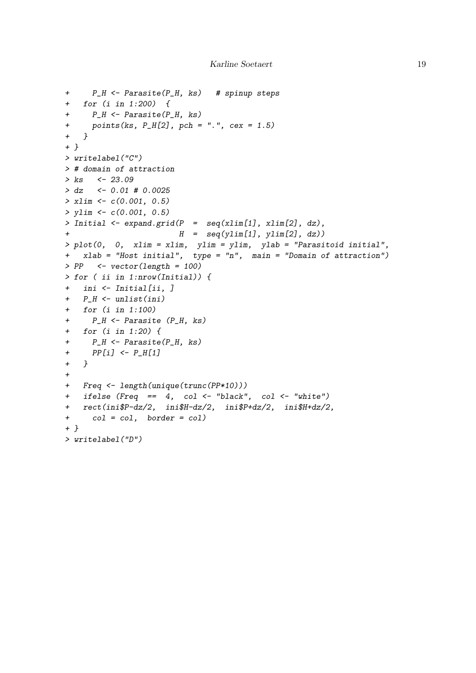```
+ P_H <- Parasite(P_H, ks) # spinup steps
+ for (i in 1:200) {
+ P_H <- Parasite(P_H, ks)
+ points(ks, P_H[2], pch = ".", cex = 1.5)
+ }
+ }
> writelabel("C")
> # domain of attraction
> ks <- 23.09
> dz <- 0.01 # 0.0025
> xlim <- c(0.001, 0.5)
> ylim <- c(0.001, 0.5)
> Initial <- expand.grid(P = seq(xlim[1], xlim[2], dz),
+ H = seq(ylim[1], ylim[2], dz))
> plot(0, 0, xlim = xlim, ylim = ylim, ylab = "Parasitoid initial",
+ xlab = "Host initial", type = "n", main = "Domain of attraction")
> PP <- vector(length = 100)
> for ( ii in 1:nrow(Initial)) {
+ ini <- Initial[ii, ]
+ P_H <- unlist(ini)
+ for (i in 1:100)
+ P_H <- Parasite (P_H, ks)
+ for (i in 1:20) {
+ P_H <- Parasite(P_H, ks)
+ PP[i] <- P_H[1]
+ }
+
+ Freq <- length(unique(trunc(PP*10)))
+ ifelse (Freq == 4, col <- "black", col <- "white")
+ rect(ini$P-dz/2, ini$H-dz/2, ini$P+dz/2, ini$H+dz/2,
+ col = col, border = col)
+ }
> writelabel("D")
```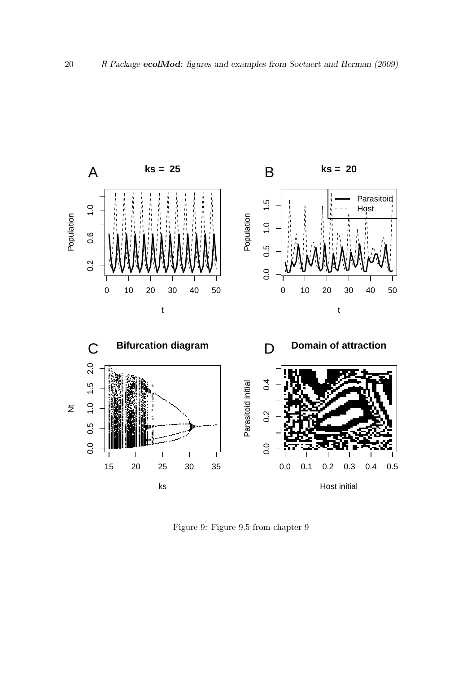

Figure 9: Figure 9.5 from chapter 9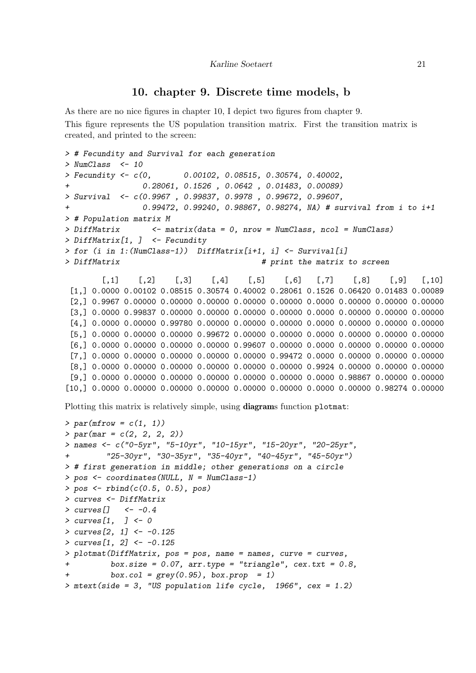#### 10. chapter 9. Discrete time models, b

As there are no nice figures in chapter 10, I depict two figures from chapter 9. This figure represents the US population transition matrix. First the transition matrix is created, and printed to the screen:

```
> # Fecundity and Survival for each generation
> NumClass <- 10
> Fecundity <- c(0, 0.00102, 0.08515, 0.30574, 0.40002,
                + 0.28061, 0.1526 , 0.0642 , 0.01483, 0.00089)
> Survival <- c(0.9967 , 0.99837, 0.9978 , 0.99672, 0.99607,
+ 0.99472, 0.99240, 0.98867, 0.98274, NA) # survival from i to i+1
> # Population matrix M
> DiffMatrix <- matrix(data = 0, nrow = NumClass, ncol = NumClass)
> DiffMatrix[1, ] <- Fecundity
> for (i in 1:(NumClass-1)) DiffMatrix[i+1, i] <- Survival[i]
> DiffMatrix # print the matrix to screen
        [0,1] [0,2] [0,3] [0,4] [0,5] [0,6] [0,7] [0,8] [0,9] [0,10][1,] 0.0000 0.00102 0.08515 0.30574 0.40002 0.28061 0.1526 0.06420 0.01483 0.00089
 [2,] 0.9967 0.00000 0.00000 0.00000 0.00000 0.00000 0.0000 0.00000 0.00000 0.00000
 [3,] 0.0000 0.99837 0.00000 0.00000 0.00000 0.00000 0.0000 0.00000 0.00000 0.00000
 [4,] 0.0000 0.00000 0.99780 0.00000 0.00000 0.00000 0.0000 0.00000 0.00000 0.00000
 [5,] 0.0000 0.00000 0.00000 0.99672 0.00000 0.00000 0.0000 0.00000 0.00000 0.00000
 [6,] 0.0000 0.00000 0.00000 0.00000 0.99607 0.00000 0.0000 0.00000 0.00000 0.00000
 [7,] 0.0000 0.00000 0.00000 0.00000 0.00000 0.99472 0.0000 0.00000 0.00000 0.00000
 [8,] 0.0000 0.00000 0.00000 0.00000 0.00000 0.00000 0.9924 0.00000 0.00000 0.00000
 [9,] 0.0000 0.00000 0.00000 0.00000 0.00000 0.00000 0.0000 0.98867 0.00000 0.00000
[10,] 0.0000 0.00000 0.00000 0.00000 0.00000 0.00000 0.0000 0.00000 0.98274 0.00000
Plotting this matrix is relatively simple, using diagrams function plotmat:
> par(mfrow = c(1, 1))
> par(mar = c(2, 2, 2, 2))
> names <- c("0-5yr", "5-10yr", "10-15yr", "15-20yr", "20-25yr",
         + "25-30yr", "30-35yr", "35-40yr", "40-45yr", "45-50yr")
> # first generation in middle; other generations on a circle
> pos <- coordinates(NULL, N = NumClass-1)
> pos <- rbind(c(0.5, 0.5), pos)
> curves <- DiffMatrix
> curves[] <- -0.4
> curves[1, ] <- 0
> curves[2, 1] <- -0.125
> curves[1, 2] <- -0.125
> plotmat(DiffMatrix, pos = pos, name = names, curve = curves,
         + box.size = 0.07, arr.type = "triangle", cex.txt = 0.8,
         + box.col = grey(0.95), box.prop = 1)
> mtext(side = 3, "US population life cycle, 1966", cex = 1.2)
```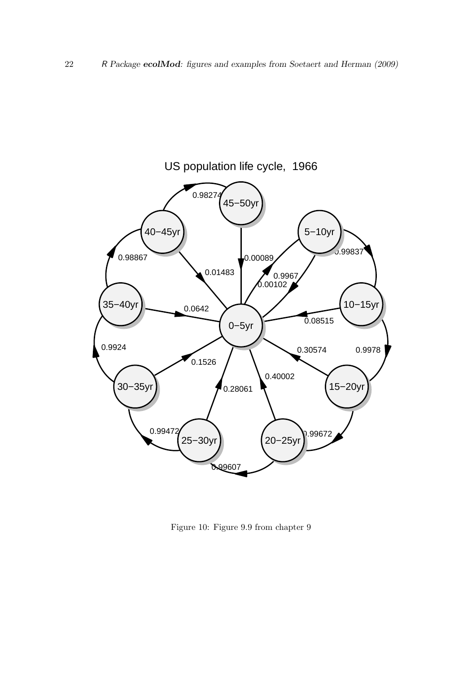

Figure 10: Figure 9.9 from chapter 9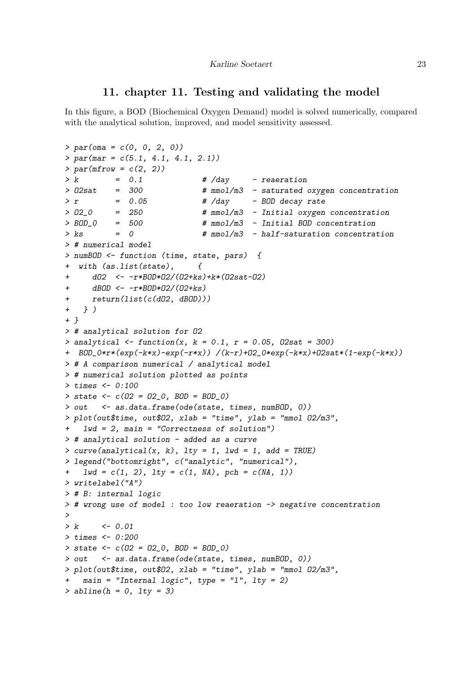#### 11. chapter 11. Testing and validating the model

In this figure, a BOD (Biochemical Oxygen Demand) model is solved numerically, compared with the analytical solution, improved, and model sensitivity assessed.

```
> par(oma = c(0, 0, 2, 0))
> par(mar = c(5.1, 4.1, 4.1, 2.1))
> par(mfrow = c(2, 2))
> k = 0.1 # /day - reaeration
> O2sat = 300 # mmol/m3 - saturated oxygen concentration
> r = 0.05 # /day - BOD decay rate
> O2_0 = 250 # mmol/m3 - Initial oxygen concentration
> BOD_0 = 500 # mmol/m3 - Initial BOD concentration
> ks = 0 # mmol/m3 - half-saturation concentration
> # numerical model
> numBOD <- function (time, state, pars) {
+ with (as.list(state), {
+ dO2 <- -r*BOD*O2/(O2+ks)+k*(O2sat-O2)
+ dBOD <- -r*BOD*O2/(O2+ks)
     + return(list(c(dO2, dBOD)))
+ } )
+ }
> # analytical solution for O2
> analytical <- function(x, k = 0.1, r = 0.05, O2sat = 300)
+ BOD_0*r*(exp(-k*x)-exp(-r*x)) /(k-r)+O2_0*exp(-k*x)+O2sat*(1-exp(-k*x))
> # A comparison numerical / analytical model
> # numerical solution plotted as points
> times <- 0:100
> state <- c(O2 = O2_0, BOD = BOD_0)
> out <- as.data.frame(ode(state, times, numBOD, 0))
> plot(out$time, out$O2, xlab = "time", ylab = "mmol O2/m3",
   + lwd = 2, main = "Correctness of solution")
> # analytical solution - added as a curve
> curve(analytical(x, k), lty = 1, lwd = 1, add = TRUE)
> legend("bottomright", c("analytic", "numerical"),
+ lwd = c(1, 2), lty = c(1, NA), pch = c(NA, 1))
> writelabel("A")
> # B: internal logic
> # wrong use of model : too low reaeration -> negative concentration
>
> k <- 0.01
> times <- 0:200
> state <- c(O2 = O2_0, BOD = BOD_0)
> out <- as.data.frame(ode(state, times, numBOD, 0))
> plot(out$time, out$O2, xlab = "time", ylab = "mmol O2/m3",
   main = "Internal logic", type = "l", lty = 2)
> abline(h = 0, lty = 3)
```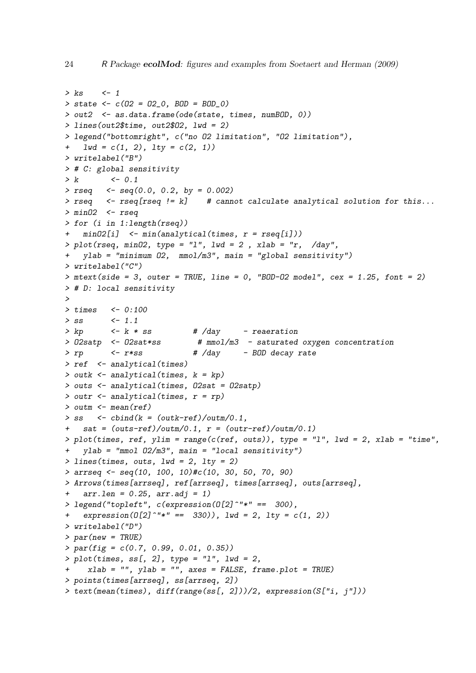```
> ks <- 1
> state <- c(O2 = O2_0, BOD = BOD_0)
> out2 <- as.data.frame(ode(state, times, numBOD, 0))
> lines(out2$time, out2$O2, lwd = 2)
> legend("bottomright", c("no O2 limitation", "O2 limitation"),
+ lwd = c(1, 2), lty = c(2, 1))
> writelabel("B")
> # C: global sensitivity
> k <- 0.1
> rseq <- seq(0.0, 0.2, by = 0.002)
> rseq <- rseq[rseq != k] # cannot calculate analytical solution for this...
> minO2 <- rseq
> for (i in 1:length(rseq))
+ minO2[i] <- min(analytical(times, r = rseq[i]))
> plot(rseq, minO2, type = "l", lwd = 2 , xlab = "r, /day",
   + ylab = "minimum O2, mmol/m3", main = "global sensitivity")
> writelabel("C")
> mtext(side = 3, outer = TRUE, line = 0, "BOD-O2 model", cex = 1.25, font = 2)
> # D: local sensitivity
>
> times <- 0:100
> ss <- 1.1
> kp <- k * ss # /day - reaeration
> O2satp <- O2sat*ss # mmol/m3 - saturated oxygen concentration
> rp <- r*ss # /day - BOD decay rate
> ref <- analytical(times)
> outk <- analytical(times, k = kp)
> outs <- analytical(times, O2sat = O2satp)
> outr <- analytical(times, r = rp)
> outm <- mean(ref)
> ss <- cbind(k = (outk-ref)/outm/0.1,
+ sat = (outs-ref)/outm/0.1, r = (outr-ref)/outm/0.1)
> plot(times, ref, ylim = range(c(ref, outs)), type = "l", lwd = 2, xlab = "time",
   + ylab = "mmol O2/m3", main = "local sensitivity")
> lines(times, outs, lwd = 2, lty = 2)
> arrseq <- seq(10, 100, 10)#c(10, 30, 50, 70, 90)
> Arrows(times[arrseq], ref[arrseq], times[arrseq], outs[arrseq],
+ arr.len = 0.25, arr.adj = 1)
> legend("topleft", c(expression(O[2]^"*" == 300),
   \text{expression}(\text{O}[2] \text{``} * " == 330)), \text{1wd} = 2, \text{1ty} = c(1, 2)> writelabel("D")
> par(new = TRUE)
> par(fig = c(0.7, 0.99, 0.01, 0.35))
> plot(times, ss[, 2], type = "l", lwd = 2,
    + xlab = "", ylab = "", axes = FALSE, frame.plot = TRUE)
> points(times[arrseq], ss[arrseq, 2])
> text(mean(times), diff(range(ss[, 2]))/2, expression(S["i, j"]))
```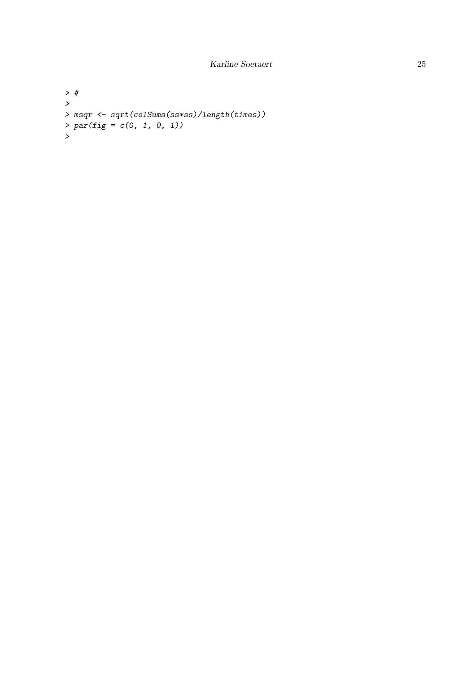```
> #
>
> msqr <- sqrt(colSums(ss*ss)/length(times))
> par(fig = c(0, 1, 0, 1))
>
```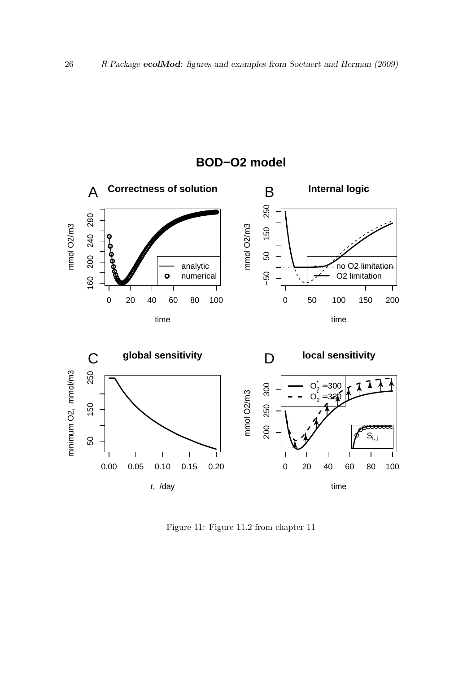

## **BOD−O2 model**

Figure 11: Figure 11.2 from chapter 11